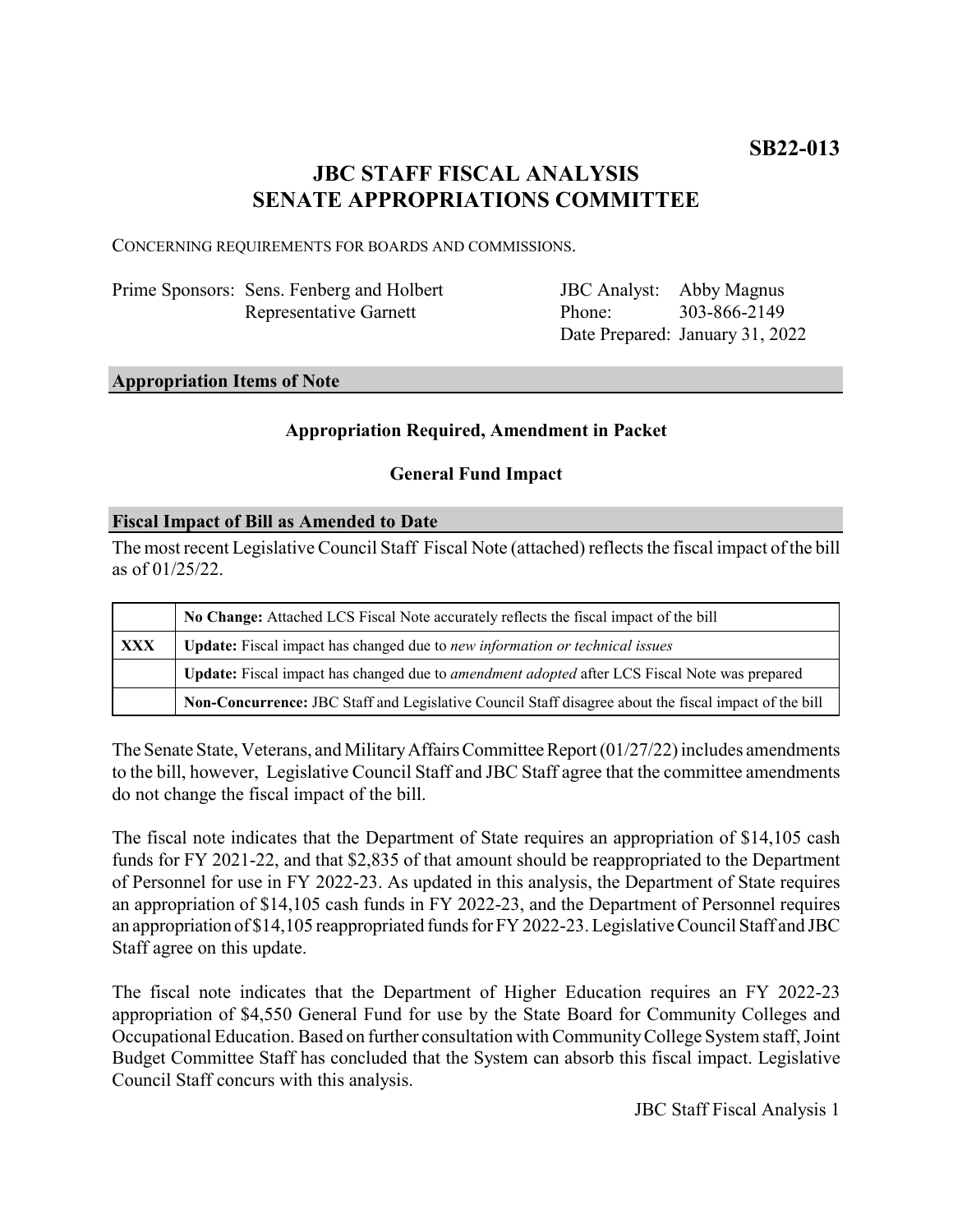# **JBC STAFF FISCAL ANALYSIS SENATE APPROPRIATIONS COMMITTEE**

CONCERNING REQUIREMENTS FOR BOARDS AND COMMISSIONS.

| Prime Sponsors: Sens. Fenberg and Holbert |
|-------------------------------------------|
| Representative Garnett                    |

JBC Analyst: Abby Magnus Phone: Date Prepared: January 31, 2022 303-866-2149

## **Appropriation Items of Note**

### **Appropriation Required, Amendment in Packet**

### **General Fund Impact**

### **Fiscal Impact of Bill as Amended to Date**

The most recent Legislative Council Staff Fiscal Note (attached) reflects the fiscal impact of the bill as of 01/25/22.

|     | No Change: Attached LCS Fiscal Note accurately reflects the fiscal impact of the bill                 |  |
|-----|-------------------------------------------------------------------------------------------------------|--|
| XXX | Update: Fiscal impact has changed due to new information or technical issues                          |  |
|     | Update: Fiscal impact has changed due to <i>amendment adopted</i> after LCS Fiscal Note was prepared  |  |
|     | Non-Concurrence: JBC Staff and Legislative Council Staff disagree about the fiscal impact of the bill |  |

The Senate State, Veterans, and Military Affairs Committee Report (01/27/22) includes amendments to the bill, however, Legislative Council Staff and JBC Staff agree that the committee amendments do not change the fiscal impact of the bill.

The fiscal note indicates that the Department of State requires an appropriation of \$14,105 cash funds for FY 2021-22, and that \$2,835 of that amount should be reappropriated to the Department of Personnel for use in FY 2022-23. As updated in this analysis, the Department of State requires an appropriation of \$14,105 cash funds in FY 2022-23, and the Department of Personnel requires an appropriation of \$14,105 reappropriated funds for FY 2022-23. Legislative Council Staff and JBC Staff agree on this update.

The fiscal note indicates that the Department of Higher Education requires an FY 2022-23 appropriation of \$4,550 General Fund for use by the State Board for Community Colleges and Occupational Education. Based on further consultation with Community College System staff, Joint Budget Committee Staff has concluded that the System can absorb this fiscal impact. Legislative Council Staff concurs with this analysis.